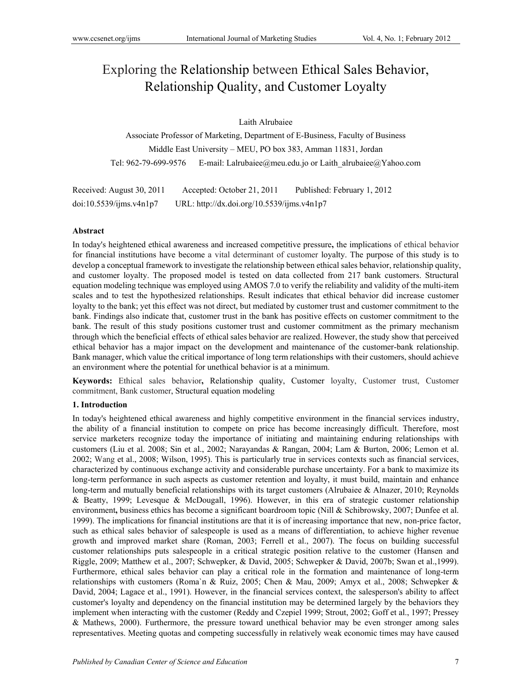# Exploring the Relationship between Ethical Sales Behavior, Relationship Quality, and Customer Loyalty

Laith Alrubaiee

Associate Professor of Marketing, Department of E-Business, Faculty of Business Middle East University – MEU, PO box 383, Amman 11831, Jordan Tel: 962-79-699-9576 E-mail: Lalrubaiee@meu.edu.jo or Laith alrubaiee@Yahoo.com

Received: August 30, 2011 Accepted: October 21, 2011 Published: February 1, 2012 doi:10.5539/ijms.v4n1p7 URL: http://dx.doi.org/10.5539/ijms.v4n1p7

## **Abstract**

In today's heightened ethical awareness and increased competitive pressure**,** the implications of ethical behavior for financial institutions have become a vital determinant of customer loyalty. The purpose of this study is to develop a conceptual framework to investigate the relationship between ethical sales behavior, relationship quality, and customer loyalty. The proposed model is tested on data collected from 217 bank customers. Structural equation modeling technique was employed using AMOS 7.0 to verify the reliability and validity of the multi-item scales and to test the hypothesized relationships. Result indicates that ethical behavior did increase customer loyalty to the bank; yet this effect was not direct, but mediated by customer trust and customer commitment to the bank. Findings also indicate that, customer trust in the bank has positive effects on customer commitment to the bank. The result of this study positions customer trust and customer commitment as the primary mechanism through which the beneficial effects of ethical sales behavior are realized. However, the study show that perceived ethical behavior has a major impact on the development and maintenance of the customer-bank relationship. Bank manager, which value the critical importance of long term relationships with their customers, should achieve an environment where the potential for unethical behavior is at a minimum.

**Keywords:** Ethical sales behavior**,** Relationship quality, Customer loyalty, Customer trust, Customer commitment, Bank customer, Structural equation modeling

# **1. Introduction**

In today's heightened ethical awareness and highly competitive environment in the financial services industry, the ability of a financial institution to compete on price has become increasingly difficult. Therefore, most service marketers recognize today the importance of initiating and maintaining enduring relationships with customers (Liu et al. 2008; Sin et al., 2002; Narayandas & Rangan, 2004; Lam & Burton, 2006; Lemon et al. 2002; Wang et al., 2008; Wilson, 1995). This is particularly true in services contexts such as financial services, characterized by continuous exchange activity and considerable purchase uncertainty. For a bank to maximize its long-term performance in such aspects as customer retention and loyalty, it must build, maintain and enhance long-term and mutually beneficial relationships with its target customers (Alrubaiee & Alnazer, 2010; Reynolds & Beatty, 1999; Levesque & McDougall, 1996). However, in this era of strategic customer relationship environment**,** business ethics has become a significant boardroom topic (Nill & Schibrowsky, 2007; Dunfee et al. 1999). The implications for financial institutions are that it is of increasing importance that new, non-price factor, such as ethical sales behavior of salespeople is used as a means of differentiation, to achieve higher revenue growth and improved market share (Roman, 2003; Ferrell et al., 2007). The focus on building successful customer relationships puts salespeople in a critical strategic position relative to the customer (Hansen and Riggle, 2009; Matthew et al., 2007; Schwepker, & David, 2005; Schwepker & David, 2007b; Swan et al.,1999). Furthermore, ethical sales behavior can play a critical role in the formation and maintenance of long-term relationships with customers (Roma`n & Ruiz, 2005; Chen & Mau, 2009; Amyx et al., 2008; Schwepker & David, 2004; Lagace et al., 1991). However, in the financial services context, the salesperson's ability to affect customer's loyalty and dependency on the financial institution may be determined largely by the behaviors they implement when interacting with the customer (Reddy and Czepiel 1999; Strout, 2002; Goff et al., 1997; Pressey & Mathews, 2000). Furthermore, the pressure toward unethical behavior may be even stronger among sales representatives. Meeting quotas and competing successfully in relatively weak economic times may have caused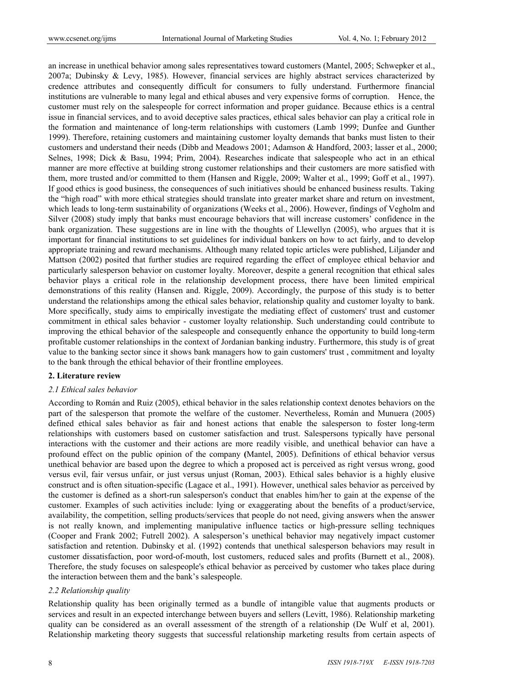an increase in unethical behavior among sales representatives toward customers (Mantel, 2005; Schwepker et al., 2007a; Dubinsky & Levy, 1985). However, financial services are highly abstract services characterized by credence attributes and consequently difficult for consumers to fully understand. Furthermore financial institutions are vulnerable to many legal and ethical abuses and very expensive forms of corruption. Hence, the customer must rely on the salespeople for correct information and proper guidance. Because ethics is a central issue in financial services, and to avoid deceptive sales practices, ethical sales behavior can play a critical role in the formation and maintenance of long-term relationships with customers (Lamb 1999; Dunfee and Gunther 1999). Therefore, retaining customers and maintaining customer loyalty demands that banks must listen to their customers and understand their needs (Dibb and Meadows 2001; Adamson & Handford, 2003; lasser et al., 2000; Selnes, 1998; Dick & Basu, 1994; Prim, 2004). Researches indicate that salespeople who act in an ethical manner are more effective at building strong customer relationships and their customers are more satisfied with them, more trusted and/or committed to them (Hansen and Riggle, 2009; Walter et al., 1999; Goff et al., 1997). If good ethics is good business, the consequences of such initiatives should be enhanced business results. Taking the "high road" with more ethical strategies should translate into greater market share and return on investment, which leads to long-term sustainability of organizations (Weeks et al., 2006). However, findings of Vegholm and Silver (2008) study imply that banks must encourage behaviors that will increase customers' confidence in the bank organization. These suggestions are in line with the thoughts of Llewellyn (2005), who argues that it is important for financial institutions to set guidelines for individual bankers on how to act fairly, and to develop appropriate training and reward mechanisms. Although many related topic articles were published, Liljander and Mattson (2002) posited that further studies are required regarding the effect of employee ethical behavior and particularly salesperson behavior on customer loyalty. Moreover, despite a general recognition that ethical sales behavior plays a critical role in the relationship development process, there have been limited empirical demonstrations of this reality (Hansen and. Riggle, 2009). Accordingly, the purpose of this study is to better understand the relationships among the ethical sales behavior, relationship quality and customer loyalty to bank. More specifically, study aims to empirically investigate the mediating effect of customers' trust and customer commitment in ethical sales behavior - customer loyalty relationship. Such understanding could contribute to improving the ethical behavior of the salespeople and consequently enhance the opportunity to build long-term profitable customer relationships in the context of Jordanian banking industry. Furthermore, this study is of great value to the banking sector since it shows bank managers how to gain customers' trust , commitment and loyalty to the bank through the ethical behavior of their frontline employees.

## **2. Literature review**

#### *2.1 Ethical sales behavior*

According to Román and Ruiz (2005), ethical behavior in the sales relationship context denotes behaviors on the part of the salesperson that promote the welfare of the customer. Nevertheless, Román and Munuera (2005) defined ethical sales behavior as fair and honest actions that enable the salesperson to foster long-term relationships with customers based on customer satisfaction and trust. Salespersons typically have personal interactions with the customer and their actions are more readily visible, and unethical behavior can have a profound effect on the public opinion of the company **(**Mantel, 2005). Definitions of ethical behavior versus unethical behavior are based upon the degree to which a proposed act is perceived as right versus wrong, good versus evil, fair versus unfair, or just versus unjust (Roman, 2003). Ethical sales behavior is a highly elusive construct and is often situation-specific (Lagace et al., 1991). However, unethical sales behavior as perceived by the customer is defined as a short-run salesperson's conduct that enables him/her to gain at the expense of the customer. Examples of such activities include: lying or exaggerating about the benefits of a product/service, availability, the competition, selling products/services that people do not need, giving answers when the answer is not really known, and implementing manipulative influence tactics or high-pressure selling techniques (Cooper and Frank 2002; Futrell 2002). A salesperson's unethical behavior may negatively impact customer satisfaction and retention. Dubinsky et al. (1992) contends that unethical salesperson behaviors may result in customer dissatisfaction, poor word-of-mouth, lost customers, reduced sales and profits (Burnett et al., 2008). Therefore, the study focuses on salespeople's ethical behavior as perceived by customer who takes place during the interaction between them and the bank's salespeople.

# *2.2 Relationship quality*

Relationship quality has been originally termed as a bundle of intangible value that augments products or services and result in an expected interchange between buyers and sellers (Levitt, 1986). Relationship marketing quality can be considered as an overall assessment of the strength of a relationship (De Wulf et al, 2001). Relationship marketing theory suggests that successful relationship marketing results from certain aspects of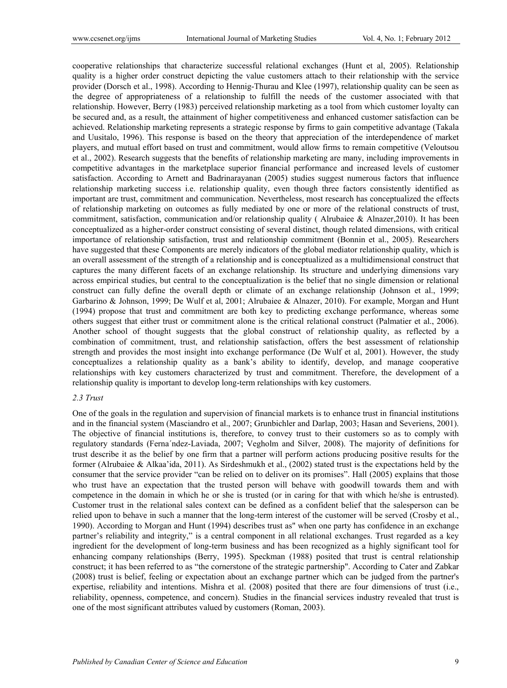cooperative relationships that characterize successful relational exchanges (Hunt et al, 2005). Relationship quality is a higher order construct depicting the value customers attach to their relationship with the service provider (Dorsch et al., 1998). According to Hennig-Thurau and Klee (1997), relationship quality can be seen as the degree of appropriateness of a relationship to fulfill the needs of the customer associated with that relationship. However, Berry (1983) perceived relationship marketing as a tool from which customer loyalty can be secured and, as a result, the attainment of higher competitiveness and enhanced customer satisfaction can be achieved. Relationship marketing represents a strategic response by firms to gain competitive advantage (Takala and Uusitalo, 1996). This response is based on the theory that appreciation of the interdependence of market players, and mutual effort based on trust and commitment, would allow firms to remain competitive (Veloutsou et al., 2002). Research suggests that the benefits of relationship marketing are many, including improvements in competitive advantages in the marketplace superior financial performance and increased levels of customer satisfaction. According to Arnett and Badrinarayanan (2005) studies suggest numerous factors that influence relationship marketing success i.e. relationship quality, even though three factors consistently identified as important are trust, commitment and communication. Nevertheless, most research has conceptualized the effects of relationship marketing on outcomes as fully mediated by one or more of the relational constructs of trust, commitment, satisfaction, communication and/or relationship quality ( Alrubaiee & Alnazer,2010). It has been conceptualized as a higher-order construct consisting of several distinct, though related dimensions, with critical importance of relationship satisfaction, trust and relationship commitment (Bonnin et al., 2005). Researchers have suggested that these Components are merely indicators of the global mediator relationship quality, which is an overall assessment of the strength of a relationship and is conceptualized as a multidimensional construct that captures the many different facets of an exchange relationship. Its structure and underlying dimensions vary across empirical studies, but central to the conceptualization is the belief that no single dimension or relational construct can fully define the overall depth or climate of an exchange relationship (Johnson et al., 1999; Garbarino & Johnson, 1999; De Wulf et al, 2001; Alrubaiee & Alnazer, 2010). For example, Morgan and Hunt (1994) propose that trust and commitment are both key to predicting exchange performance, whereas some others suggest that either trust or commitment alone is the critical relational construct (Palmatier et al., 2006). Another school of thought suggests that the global construct of relationship quality, as reflected by a combination of commitment, trust, and relationship satisfaction, offers the best assessment of relationship strength and provides the most insight into exchange performance (De Wulf et al, 2001). However, the study conceptualizes a relationship quality as a bank's ability to identify, develop, and manage cooperative relationships with key customers characterized by trust and commitment. Therefore, the development of a relationship quality is important to develop long-term relationships with key customers.

#### *2.3 Trust*

One of the goals in the regulation and supervision of financial markets is to enhance trust in financial institutions and in the financial system (Masciandro et al., 2007; Grunbichler and Darlap, 2003; Hasan and Severiens, 2001). The objective of financial institutions is, therefore, to convey trust to their customers so as to comply with regulatory standards (Ferna´ndez-Laviada, 2007; Vegholm and Silver, 2008). The majority of definitions for trust describe it as the belief by one firm that a partner will perform actions producing positive results for the former (Alrubaiee & Alkaa'ida, 2011). As Sirdeshmukh et al., (2002) stated trust is the expectations held by the consumer that the service provider "can be relied on to deliver on its promises". Hall (2005) explains that those who trust have an expectation that the trusted person will behave with goodwill towards them and with competence in the domain in which he or she is trusted (or in caring for that with which he/she is entrusted). Customer trust in the relational sales context can be defined as a confident belief that the salesperson can be relied upon to behave in such a manner that the long-term interest of the customer will be served (Crosby et al., 1990). According to Morgan and Hunt (1994) describes trust as" when one party has confidence in an exchange partner's reliability and integrity," is a central component in all relational exchanges. Trust regarded as a key ingredient for the development of long-term business and has been recognized as a highly significant tool for enhancing company relationships (Berry, 1995). Speckman (1988) posited that trust is central relationship construct; it has been referred to as "the cornerstone of the strategic partnership". According to Cater and Zabkar (2008) trust is belief, feeling or expectation about an exchange partner which can be judged from the partner's expertise, reliability and intentions. Mishra et al. (2008) posited that there are four dimensions of trust (i.e., reliability, openness, competence, and concern). Studies in the financial services industry revealed that trust is one of the most significant attributes valued by customers (Roman, 2003).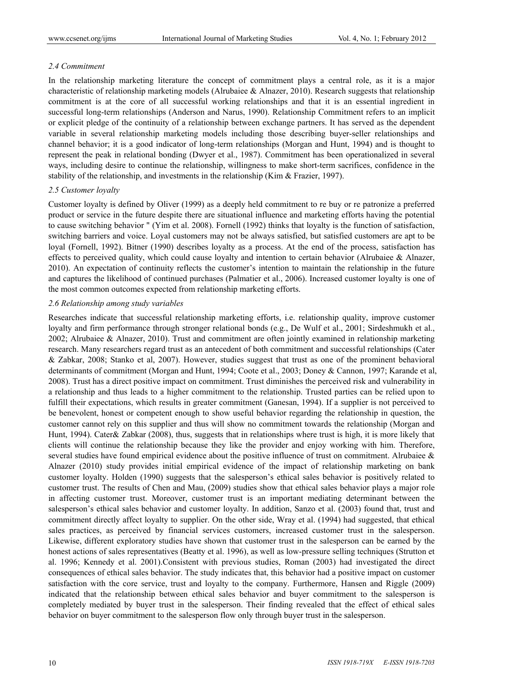## *2.4 Commitment*

In the relationship marketing literature the concept of commitment plays a central role, as it is a major characteristic of relationship marketing models (Alrubaiee & Alnazer, 2010). Research suggests that relationship commitment is at the core of all successful working relationships and that it is an essential ingredient in successful long-term relationships (Anderson and Narus, 1990). Relationship Commitment refers to an implicit or explicit pledge of the continuity of a relationship between exchange partners. It has served as the dependent variable in several relationship marketing models including those describing buyer-seller relationships and channel behavior; it is a good indicator of long-term relationships (Morgan and Hunt, 1994) and is thought to represent the peak in relational bonding (Dwyer et al., 1987). Commitment has been operationalized in several ways, including desire to continue the relationship, willingness to make short-term sacrifices, confidence in the stability of the relationship, and investments in the relationship (Kim & Frazier, 1997).

## *2.5 Customer loyalty*

Customer loyalty is defined by Oliver (1999) as a deeply held commitment to re buy or re patronize a preferred product or service in the future despite there are situational influence and marketing efforts having the potential to cause switching behavior " (Yim et al. 2008). Fornell (1992) thinks that loyalty is the function of satisfaction, switching barriers and voice. Loyal customers may not be always satisfied, but satisfied customers are apt to be loyal (Fornell, 1992). Bitner (1990) describes loyalty as a process. At the end of the process, satisfaction has effects to perceived quality, which could cause loyalty and intention to certain behavior (Alrubaiee & Alnazer, 2010). An expectation of continuity reflects the customer's intention to maintain the relationship in the future and captures the likelihood of continued purchases (Palmatier et al., 2006). Increased customer loyalty is one of the most common outcomes expected from relationship marketing efforts.

## *2.6 Relationship among study variables*

Researches indicate that successful relationship marketing efforts, i.e. relationship quality, improve customer loyalty and firm performance through stronger relational bonds (e.g., De Wulf et al., 2001; Sirdeshmukh et al., 2002; Alrubaiee & Alnazer, 2010). Trust and commitment are often jointly examined in relationship marketing research. Many researchers regard trust as an antecedent of both commitment and successful relationships (Cater & Zabkar, 2008; Stanko et al, 2007). However, studies suggest that trust as one of the prominent behavioral determinants of commitment (Morgan and Hunt, 1994; Coote et al., 2003; Doney & Cannon, 1997; Karande et al, 2008). Trust has a direct positive impact on commitment. Trust diminishes the perceived risk and vulnerability in a relationship and thus leads to a higher commitment to the relationship. Trusted parties can be relied upon to fulfill their expectations, which results in greater commitment (Ganesan, 1994). If a supplier is not perceived to be benevolent, honest or competent enough to show useful behavior regarding the relationship in question, the customer cannot rely on this supplier and thus will show no commitment towards the relationship (Morgan and Hunt, 1994). Cater& Zabkar (2008), thus, suggests that in relationships where trust is high, it is more likely that clients will continue the relationship because they like the provider and enjoy working with him. Therefore, several studies have found empirical evidence about the positive influence of trust on commitment. Alrubaiee & Alnazer (2010) study provides initial empirical evidence of the impact of relationship marketing on bank customer loyalty. Holden (1990) suggests that the salesperson's ethical sales behavior is positively related to customer trust. The results of Chen and Mau, (2009) studies show that ethical sales behavior plays a major role in affecting customer trust. Moreover, customer trust is an important mediating determinant between the salesperson's ethical sales behavior and customer loyalty. In addition, Sanzo et al. (2003) found that, trust and commitment directly affect loyalty to supplier. On the other side, Wray et al. (1994) had suggested, that ethical sales practices, as perceived by financial services customers, increased customer trust in the salesperson. Likewise, different exploratory studies have shown that customer trust in the salesperson can be earned by the honest actions of sales representatives (Beatty et al. 1996), as well as low-pressure selling techniques (Strutton et al. 1996; Kennedy et al. 2001).Consistent with previous studies, Roman (2003) had investigated the direct consequences of ethical sales behavior. The study indicates that, this behavior had a positive impact on customer satisfaction with the core service, trust and loyalty to the company. Furthermore, Hansen and Riggle (2009) indicated that the relationship between ethical sales behavior and buyer commitment to the salesperson is completely mediated by buyer trust in the salesperson. Their finding revealed that the effect of ethical sales behavior on buyer commitment to the salesperson flow only through buyer trust in the salesperson.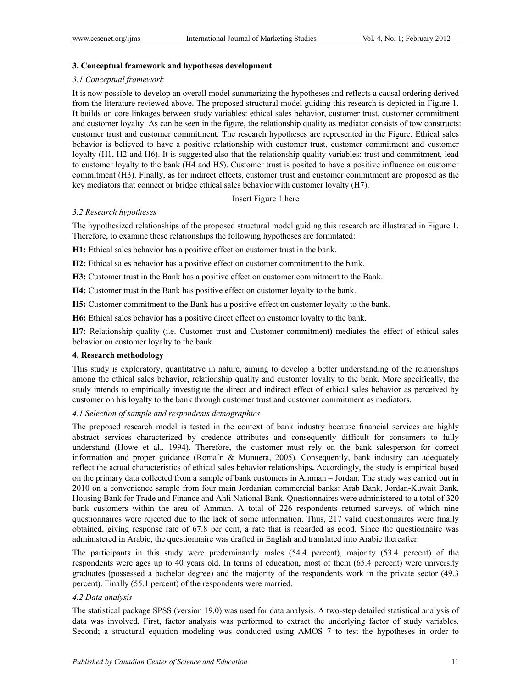## **3. Conceptual framework and hypotheses development**

## *3.1 Conceptual framework*

It is now possible to develop an overall model summarizing the hypotheses and reflects a causal ordering derived from the literature reviewed above. The proposed structural model guiding this research is depicted in Figure 1. It builds on core linkages between study variables: ethical sales behavior, customer trust, customer commitment and customer loyalty. As can be seen in the figure, the relationship quality as mediator consists of tow constructs: customer trust and customer commitment. The research hypotheses are represented in the Figure. Ethical sales behavior is believed to have a positive relationship with customer trust, customer commitment and customer loyalty (H1, H2 and H6). It is suggested also that the relationship quality variables: trust and commitment, lead to customer loyalty to the bank (H4 and H5). Customer trust is posited to have a positive influence on customer commitment (H3). Finally, as for indirect effects, customer trust and customer commitment are proposed as the key mediators that connect or bridge ethical sales behavior with customer loyalty (H7).

#### Insert Figure 1 here

## *3.2 Research hypotheses*

The hypothesized relationships of the proposed structural model guiding this research are illustrated in Figure 1. Therefore, to examine these relationships the following hypotheses are formulated:

**H1:** Ethical sales behavior has a positive effect on customer trust in the bank.

**H2:** Ethical sales behavior has a positive effect on customer commitment to the bank.

**H3:** Customer trust in the Bank has a positive effect on customer commitment to the Bank.

**H4:** Customer trust in the Bank has positive effect on customer loyalty to the bank.

**H5:** Customer commitment to the Bank has a positive effect on customer loyalty to the bank.

**H6:** Ethical sales behavior has a positive direct effect on customer loyalty to the bank.

**H7:** Relationship quality (i.e. Customer trust and Customer commitment**)** mediates the effect of ethical sales behavior on customer loyalty to the bank.

## **4. Research methodology**

This study is exploratory, quantitative in nature, aiming to develop a better understanding of the relationships among the ethical sales behavior, relationship quality and customer loyalty to the bank. More specifically, the study intends to empirically investigate the direct and indirect effect of ethical sales behavior as perceived by customer on his loyalty to the bank through customer trust and customer commitment as mediators.

## *4.1 Selection of sample and respondents demographics*

The proposed research model is tested in the context of bank industry because financial services are highly abstract services characterized by credence attributes and consequently difficult for consumers to fully understand (Howe et al., 1994). Therefore, the customer must rely on the bank salesperson for correct information and proper guidance (Roma´n & Munuera, 2005). Consequently, bank industry can adequately reflect the actual characteristics of ethical sales behavior relationships**.** Accordingly, the study is empirical based on the primary data collected from a sample of bank customers in Amman – Jordan. The study was carried out in 2010 on a convenience sample from four main Jordanian commercial banks: Arab Bank, Jordan-Kuwait Bank, Housing Bank for Trade and Finance and Ahli National Bank. Questionnaires were administered to a total of 320 bank customers within the area of Amman. A total of 226 respondents returned surveys, of which nine questionnaires were rejected due to the lack of some information. Thus, 217 valid questionnaires were finally obtained, giving response rate of 67.8 per cent, a rate that is regarded as good. Since the questionnaire was administered in Arabic, the questionnaire was drafted in English and translated into Arabic thereafter.

The participants in this study were predominantly males (54.4 percent), majority (53.4 percent) of the respondents were ages up to 40 years old. In terms of education, most of them (65.4 percent) were university graduates (possessed a bachelor degree) and the majority of the respondents work in the private sector (49.3 percent). Finally (55.1 percent) of the respondents were married.

## *4.2 Data analysis*

The statistical package SPSS (version 19.0) was used for data analysis. A two-step detailed statistical analysis of data was involved. First, factor analysis was performed to extract the underlying factor of study variables. Second; a structural equation modeling was conducted using AMOS 7 to test the hypotheses in order to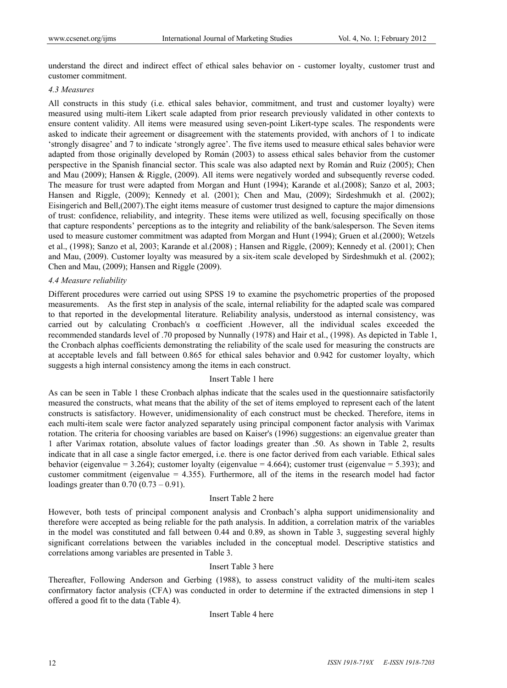understand the direct and indirect effect of ethical sales behavior on - customer loyalty, customer trust and customer commitment.

#### *4.3 Measures*

All constructs in this study (i.e. ethical sales behavior, commitment, and trust and customer loyalty) were measured using multi-item Likert scale adapted from prior research previously validated in other contexts to ensure content validity. All items were measured using seven-point Likert-type scales. The respondents were asked to indicate their agreement or disagreement with the statements provided, with anchors of 1 to indicate 'strongly disagree' and 7 to indicate 'strongly agree'. The five items used to measure ethical sales behavior were adapted from those originally developed by Román (2003) to assess ethical sales behavior from the customer perspective in the Spanish financial sector. This scale was also adapted next by Román and Ruiz (2005); Chen and Mau (2009); Hansen & Riggle, (2009). All items were negatively worded and subsequently reverse coded. The measure for trust were adapted from Morgan and Hunt (1994); Karande et al.(2008); Sanzo et al, 2003; Hansen and Riggle, (2009); Kennedy et al. (2001); Chen and Mau, (2009); Sirdeshmukh et al. (2002); Eisingerich and Bell,(2007).The eight items measure of customer trust designed to capture the major dimensions of trust: confidence, reliability, and integrity. These items were utilized as well, focusing specifically on those that capture respondents' perceptions as to the integrity and reliability of the bank/salesperson. The Seven items used to measure customer commitment was adapted from Morgan and Hunt (1994); Gruen et al.(2000); Wetzels et al., (1998); Sanzo et al, 2003; Karande et al.(2008) ; Hansen and Riggle, (2009); Kennedy et al. (2001); Chen and Mau, (2009). Customer loyalty was measured by a six-item scale developed by Sirdeshmukh et al. (2002); Chen and Mau, (2009); Hansen and Riggle (2009).

## *4.4 Measure reliability*

Different procedures were carried out using SPSS 19 to examine the psychometric properties of the proposed measurements. As the first step in analysis of the scale, internal reliability for the adapted scale was compared to that reported in the developmental literature. Reliability analysis, understood as internal consistency, was carried out by calculating Cronbach's  $\alpha$  coefficient .However, all the individual scales exceeded the recommended standards level of .70 proposed by Nunnally (1978) and Hair et al., (1998). As depicted in Table 1, the Cronbach alphas coefficients demonstrating the reliability of the scale used for measuring the constructs are at acceptable levels and fall between 0.865 for ethical sales behavior and 0.942 for customer loyalty, which suggests a high internal consistency among the items in each construct.

## Insert Table 1 here

As can be seen in Table 1 these Cronbach alphas indicate that the scales used in the questionnaire satisfactorily measured the constructs, what means that the ability of the set of items employed to represent each of the latent constructs is satisfactory. However, unidimensionality of each construct must be checked. Therefore, items in each multi-item scale were factor analyzed separately using principal component factor analysis with Varimax rotation. The criteria for choosing variables are based on Kaiser's (1996) suggestions: an eigenvalue greater than 1 after Varimax rotation, absolute values of factor loadings greater than .50. As shown in Table 2, results indicate that in all case a single factor emerged, i.e. there is one factor derived from each variable. Ethical sales behavior (eigenvalue = 3.264); customer loyalty (eigenvalue = 4.664); customer trust (eigenvalue = 5.393); and customer commitment (eigenvalue  $= 4.355$ ). Furthermore, all of the items in the research model had factor loadings greater than 0.70 (0.73 – 0.91).

#### Insert Table 2 here

However, both tests of principal component analysis and Cronbach's alpha support unidimensionality and therefore were accepted as being reliable for the path analysis. In addition, a correlation matrix of the variables in the model was constituted and fall between 0.44 and 0.89, as shown in Table 3, suggesting several highly significant correlations between the variables included in the conceptual model. Descriptive statistics and correlations among variables are presented in Table 3.

## Insert Table 3 here

Thereafter, Following Anderson and Gerbing (1988), to assess construct validity of the multi-item scales confirmatory factor analysis (CFA) was conducted in order to determine if the extracted dimensions in step 1 offered a good fit to the data (Table 4).

#### Insert Table 4 here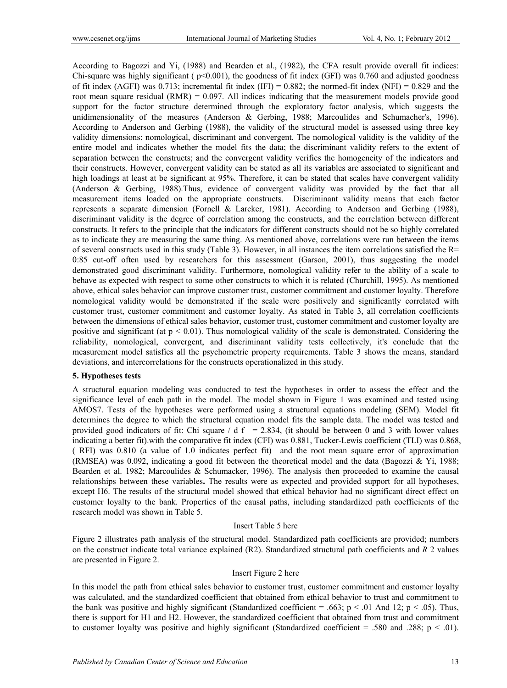According to Bagozzi and Yi, (1988) and Bearden et al., (1982), the CFA result provide overall fit indices: Chi-square was highly significant ( $p<0.001$ ), the goodness of fit index (GFI) was 0.760 and adjusted goodness of fit index (AGFI) was 0.713; incremental fit index (IFI) = 0.882; the normed-fit index (NFI) = 0.829 and the root mean square residual  $(RMR) = 0.097$ . All indices indicating that the measurement models provide good support for the factor structure determined through the exploratory factor analysis, which suggests the unidimensionality of the measures (Anderson & Gerbing, 1988; Marcoulides and Schumacher's, 1996). According to Anderson and Gerbing (1988), the validity of the structural model is assessed using three key validity dimensions: nomological, discriminant and convergent. The nomological validity is the validity of the entire model and indicates whether the model fits the data; the discriminant validity refers to the extent of separation between the constructs; and the convergent validity verifies the homogeneity of the indicators and their constructs. However, convergent validity can be stated as all its variables are associated to significant and high loadings at least at be significant at 95%. Therefore, it can be stated that scales have convergent validity (Anderson & Gerbing, 1988).Thus, evidence of convergent validity was provided by the fact that all measurement items loaded on the appropriate constructs. Discriminant validity means that each factor represents a separate dimension (Fornell & Larcker, 1981). According to Anderson and Gerbing (1988), discriminant validity is the degree of correlation among the constructs, and the correlation between different constructs. It refers to the principle that the indicators for different constructs should not be so highly correlated as to indicate they are measuring the same thing. As mentioned above, correlations were run between the items of several constructs used in this study (Table 3). However, in all instances the item correlations satisfied the  $R=$ 0:85 cut-off often used by researchers for this assessment (Garson, 2001), thus suggesting the model demonstrated good discriminant validity. Furthermore, nomological validity refer to the ability of a scale to behave as expected with respect to some other constructs to which it is related (Churchill, 1995). As mentioned above, ethical sales behavior can improve customer trust, customer commitment and customer loyalty. Therefore nomological validity would be demonstrated if the scale were positively and significantly correlated with customer trust, customer commitment and customer loyalty. As stated in Table 3, all correlation coefficients between the dimensions of ethical sales behavior, customer trust, customer commitment and customer loyalty are positive and significant (at  $p < 0.01$ ). Thus nomological validity of the scale is demonstrated. Considering the reliability, nomological, convergent, and discriminant validity tests collectively, it's conclude that the measurement model satisfies all the psychometric property requirements. Table 3 shows the means, standard deviations, and intercorrelations for the constructs operationalized in this study.

## **5. Hypotheses tests**

A structural equation modeling was conducted to test the hypotheses in order to assess the effect and the significance level of each path in the model. The model shown in Figure 1 was examined and tested using AMOS7. Tests of the hypotheses were performed using a structural equations modeling (SEM). Model fit determines the degree to which the structural equation model fits the sample data. The model was tested and provided good indicators of fit: Chi square  $/ d f = 2.834$ , (it should be between 0 and 3 with lower values indicating a better fit).with the comparative fit index (CFI) was 0.881, Tucker-Lewis coefficient (TLI) was 0.868, ( RFI) was 0.810 (a value of 1.0 indicates perfect fit) and the root mean square error of approximation (RMSEA) was 0.092, indicating a good fit between the theoretical model and the data (Bagozzi & Yi, 1988; Bearden et al. 1982; Marcoulides & Schumacker, 1996). The analysis then proceeded to examine the causal relationships between these variables**.** The results were as expected and provided support for all hypotheses, except H6. The results of the structural model showed that ethical behavior had no significant direct effect on customer loyalty to the bank. Properties of the causal paths, including standardized path coefficients of the research model was shown in Table 5.

#### Insert Table 5 here

Figure 2 illustrates path analysis of the structural model. Standardized path coefficients are provided; numbers on the construct indicate total variance explained (R2). Standardized structural path coefficients and *R* 2 values are presented in Figure 2.

#### Insert Figure 2 here

In this model the path from ethical sales behavior to customer trust, customer commitment and customer loyalty was calculated, and the standardized coefficient that obtained from ethical behavior to trust and commitment to the bank was positive and highly significant (Standardized coefficient = .663; p < .01 And 12; p < .05). Thus, there is support for H1 and H2. However, the standardized coefficient that obtained from trust and commitment to customer loyalty was positive and highly significant (Standardized coefficient = .580 and .288;  $p < .01$ ).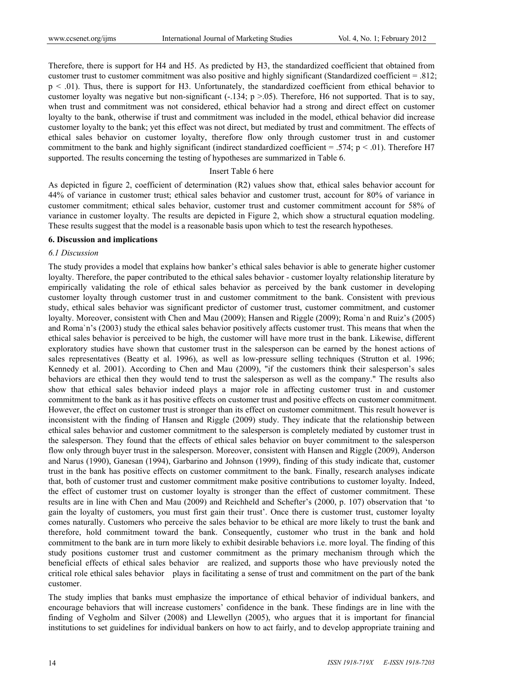Therefore, there is support for H4 and H5. As predicted by H3, the standardized coefficient that obtained from customer trust to customer commitment was also positive and highly significant (Standardized coefficient = .812; p < .01). Thus, there is support for H3. Unfortunately, the standardized coefficient from ethical behavior to customer loyalty was negative but non-significant  $(-134; p > 05)$ . Therefore, H6 not supported. That is to say, when trust and commitment was not considered, ethical behavior had a strong and direct effect on customer loyalty to the bank, otherwise if trust and commitment was included in the model, ethical behavior did increase customer loyalty to the bank; yet this effect was not direct, but mediated by trust and commitment. The effects of ethical sales behavior on customer loyalty, therefore flow only through customer trust in and customer commitment to the bank and highly significant (indirect standardized coefficient = .574; p < .01). Therefore H7 supported. The results concerning the testing of hypotheses are summarized in Table 6.

## Insert Table 6 here

As depicted in figure 2, coefficient of determination (R2) values show that, ethical sales behavior account for 44% of variance in customer trust; ethical sales behavior and customer trust, account for 80% of variance in customer commitment; ethical sales behavior, customer trust and customer commitment account for 58% of variance in customer loyalty. The results are depicted in Figure 2, which show a structural equation modeling. These results suggest that the model is a reasonable basis upon which to test the research hypotheses.

## **6. Discussion and implications**

## *6.1 Discussion*

The study provides a model that explains how banker's ethical sales behavior is able to generate higher customer loyalty. Therefore, the paper contributed to the ethical sales behavior - customer loyalty relationship literature by empirically validating the role of ethical sales behavior as perceived by the bank customer in developing customer loyalty through customer trust in and customer commitment to the bank. Consistent with previous study, ethical sales behavior was significant predictor of customer trust, customer commitment, and customer loyalty. Moreover, consistent with Chen and Mau (2009); Hansen and Riggle (2009); Roma`n and Ruiz's (2005) and Roma`n's (2003) study the ethical sales behavior positively affects customer trust. This means that when the ethical sales behavior is perceived to be high, the customer will have more trust in the bank. Likewise, different exploratory studies have shown that customer trust in the salesperson can be earned by the honest actions of sales representatives (Beatty et al. 1996), as well as low-pressure selling techniques (Strutton et al. 1996; Kennedy et al. 2001). According to Chen and Mau (2009), "if the customers think their salesperson's sales behaviors are ethical then they would tend to trust the salesperson as well as the company." The results also show that ethical sales behavior indeed plays a major role in affecting customer trust in and customer commitment to the bank as it has positive effects on customer trust and positive effects on customer commitment. However, the effect on customer trust is stronger than its effect on customer commitment. This result however is inconsistent with the finding of Hansen and Riggle (2009) study. They indicate that the relationship between ethical sales behavior and customer commitment to the salesperson is completely mediated by customer trust in the salesperson. They found that the effects of ethical sales behavior on buyer commitment to the salesperson flow only through buyer trust in the salesperson. Moreover, consistent with Hansen and Riggle (2009), Anderson and Narus (1990), Ganesan (1994), Garbarino and Johnson (1999), finding of this study indicate that, customer trust in the bank has positive effects on customer commitment to the bank. Finally, research analyses indicate that, both of customer trust and customer commitment make positive contributions to customer loyalty. Indeed, the effect of customer trust on customer loyalty is stronger than the effect of customer commitment. These results are in line with Chen and Mau (2009) and Reichheld and Schefter's (2000, p. 107) observation that 'to gain the loyalty of customers, you must first gain their trust'. Once there is customer trust, customer loyalty comes naturally. Customers who perceive the sales behavior to be ethical are more likely to trust the bank and therefore, hold commitment toward the bank. Consequently, customer who trust in the bank and hold commitment to the bank are in turn more likely to exhibit desirable behaviors i.e. more loyal. The finding of this study positions customer trust and customer commitment as the primary mechanism through which the beneficial effects of ethical sales behavior are realized, and supports those who have previously noted the critical role ethical sales behavior plays in facilitating a sense of trust and commitment on the part of the bank customer.

The study implies that banks must emphasize the importance of ethical behavior of individual bankers, and encourage behaviors that will increase customers' confidence in the bank. These findings are in line with the finding of Vegholm and Silver (2008) and Llewellyn (2005), who argues that it is important for financial institutions to set guidelines for individual bankers on how to act fairly, and to develop appropriate training and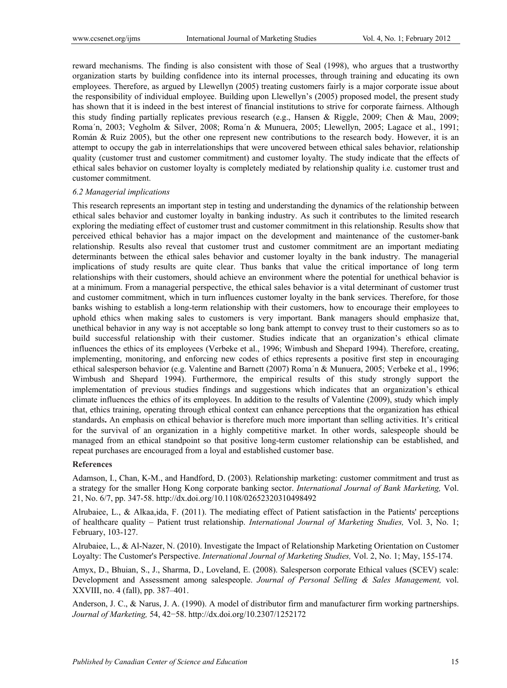reward mechanisms. The finding is also consistent with those of Seal (1998), who argues that a trustworthy organization starts by building confidence into its internal processes, through training and educating its own employees. Therefore, as argued by Llewellyn (2005) treating customers fairly is a major corporate issue about the responsibility of individual employee. Building upon Llewellyn's (2005) proposed model, the present study has shown that it is indeed in the best interest of financial institutions to strive for corporate fairness. Although this study finding partially replicates previous research (e.g., Hansen & Riggle, 2009; Chen & Mau, 2009; Roma´n, 2003; Vegholm & Silver, 2008; Roma´n & Munuera, 2005; Llewellyn, 2005; Lagace et al., 1991; Román & Ruiz 2005), but the other one represent new contributions to the research body. However, it is an attempt to occupy the gab in interrelationships that were uncovered between ethical sales behavior, relationship quality (customer trust and customer commitment) and customer loyalty. The study indicate that the effects of ethical sales behavior on customer loyalty is completely mediated by relationship quality i.e. customer trust and customer commitment.

#### *6.2 Managerial implications*

This research represents an important step in testing and understanding the dynamics of the relationship between ethical sales behavior and customer loyalty in banking industry. As such it contributes to the limited research exploring the mediating effect of customer trust and customer commitment in this relationship. Results show that perceived ethical behavior has a major impact on the development and maintenance of the customer-bank relationship. Results also reveal that customer trust and customer commitment are an important mediating determinants between the ethical sales behavior and customer loyalty in the bank industry. The managerial implications of study results are quite clear. Thus banks that value the critical importance of long term relationships with their customers, should achieve an environment where the potential for unethical behavior is at a minimum. From a managerial perspective, the ethical sales behavior is a vital determinant of customer trust and customer commitment, which in turn influences customer loyalty in the bank services. Therefore, for those banks wishing to establish a long-term relationship with their customers, how to encourage their employees to uphold ethics when making sales to customers is very important. Bank managers should emphasize that, unethical behavior in any way is not acceptable so long bank attempt to convey trust to their customers so as to build successful relationship with their customer. Studies indicate that an organization's ethical climate influences the ethics of its employees (Verbeke et al., 1996; Wimbush and Shepard 1994). Therefore, creating, implementing, monitoring, and enforcing new codes of ethics represents a positive first step in encouraging ethical salesperson behavior (e.g. Valentine and Barnett (2007) Roma´n & Munuera, 2005; Verbeke et al., 1996; Wimbush and Shepard 1994). Furthermore, the empirical results of this study strongly support the implementation of previous studies findings and suggestions which indicates that an organization's ethical climate influences the ethics of its employees. In addition to the results of Valentine (2009), study which imply that, ethics training, operating through ethical context can enhance perceptions that the organization has ethical standards**.** An emphasis on ethical behavior is therefore much more important than selling activities. It's critical for the survival of an organization in a highly competitive market. In other words, salespeople should be managed from an ethical standpoint so that positive long-term customer relationship can be established, and repeat purchases are encouraged from a loyal and established customer base.

#### **References**

Adamson, I., Chan, K-M., and Handford, D. (2003). Relationship marketing: customer commitment and trust as a strategy for the smaller Hong Kong corporate banking sector. *International Journal of Bank Marketing,* Vol. 21, No. 6/7, pp. 347-58. http://dx.doi.org/10.1108/02652320310498492

Alrubaiee, L., & Alkaa,ida, F. (2011). The mediating effect of Patient satisfaction in the Patients' perceptions of healthcare quality – Patient trust relationship. *International Journal of Marketing Studies,* Vol. 3, No. 1; February, 103-127.

Alrubaiee, L., & Al-Nazer, N. (2010). Investigate the Impact of Relationship Marketing Orientation on Customer Loyalty: The Customer's Perspective. *International Journal of Marketing Studies,* Vol. 2, No. 1; May, 155-174.

Amyx, D., Bhuian, S., J., Sharma, D., Loveland, E. (2008). Salesperson corporate Ethical values (SCEV) scale: Development and Assessment among salespeople. *Journal of Personal Selling & Sales Management,* vol. XXVIII, no. 4 (fall), pp. 387–401.

Anderson, J. C., & Narus, J. A. (1990). A model of distributor firm and manufacturer firm working partnerships. *Journal of Marketing,* 54, 42−58. http://dx.doi.org/10.2307/1252172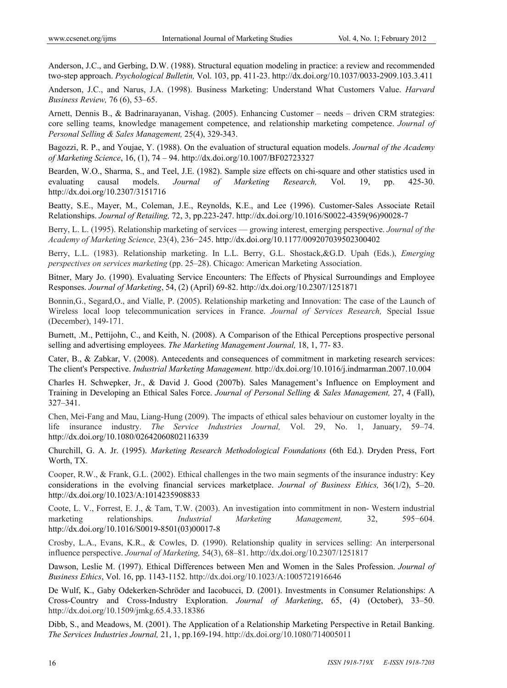Anderson, J.C., and Gerbing, D.W. (1988). Structural equation modeling in practice: a review and recommended two-step approach. *Psychological Bulletin,* Vol. 103, pp. 411-23. http://dx.doi.org/10.1037/0033-2909.103.3.411

Anderson, J.C., and Narus, J.A. (1998). Business Marketing: Understand What Customers Value. *Harvard Business Review,* 76 (6), 53–65.

Arnett, Dennis B., & Badrinarayanan, Vishag. (2005). Enhancing Customer – needs – driven CRM strategies: core selling teams, knowledge management competence, and relationship marketing competence. *Journal of Personal Selling & Sales Management,* 25(4), 329-343.

Bagozzi, R. P., and Youjae, Y. (1988). On the evaluation of structural equation models. *Journal of the Academy of Marketing Science*, 16, (1), 74 – 94. http://dx.doi.org/10.1007/BF02723327

Bearden, W.O., Sharma, S., and Teel, J.E. (1982). Sample size effects on chi-square and other statistics used in evaluating causal models. *Journal of Marketing Research,* Vol. 19, pp. 425-30. http://dx.doi.org/10.2307/3151716

Beatty, S.E., Mayer, M., Coleman, J.E., Reynolds, K.E., and Lee (1996). Customer-Sales Associate Retail Relationships. *Journal of Retailing,* 72, 3, pp.223-247. http://dx.doi.org/10.1016/S0022-4359(96)90028-7

Berry, L. L. (1995). Relationship marketing of services — growing interest, emerging perspective. *Journal of the Academy of Marketing Science,* 23(4), 236−245. http://dx.doi.org/10.1177/009207039502300402

Berry, L.L. (1983). Relationship marketing. In L.L. Berry, G.L. Shostack,&G.D. Upah (Eds.), *Emerging perspectives on services marketing* (pp. 25–28). Chicago: American Marketing Association.

Bitner, Mary Jo. (1990). Evaluating Service Encounters: The Effects of Physical Surroundings and Employee Responses. *Journal of Marketing*, 54, (2) (April) 69-82. http://dx.doi.org/10.2307/1251871

Bonnin,G., Segard,O., and Vialle, P. (2005). Relationship marketing and Innovation: The case of the Launch of Wireless local loop telecommunication services in France. *Journal of Services Research,* Special Issue (December), 149-171.

Burnett, .M., Pettijohn, C., and Keith, N. (2008). A Comparison of the Ethical Perceptions prospective personal selling and advertising employees. *The Marketing Management Journal,* 18, 1, 77- 83.

Cater, B., & Zabkar, V. (2008). Antecedents and consequences of commitment in marketing research services: The client's Perspective. *Industrial Marketing Management.* http://dx.doi.org/10.1016/j.indmarman.2007.10.004

Charles H. Schwepker, Jr., & David J. Good (2007b). Sales Management's Influence on Employment and Training in Developing an Ethical Sales Force. *Journal of Personal Selling & Sales Management,* 27, 4 (Fall), 327–341.

Chen, Mei-Fang and Mau, Liang-Hung (2009). The impacts of ethical sales behaviour on customer loyalty in the life insurance industry. *The Service Industries Journal,* Vol. 29, No. 1, January, 59–74. http://dx.doi.org/10.1080/02642060802116339

Churchill, G. A. Jr. (1995). *Marketing Research Methodological Foundations* (6th Ed.). Dryden Press, Fort Worth, TX.

Cooper, R.W., & Frank, G.L. (2002). Ethical challenges in the two main segments of the insurance industry: Key considerations in the evolving financial services marketplace. *Journal of Business Ethics*, 36(1/2), 5–20. http://dx.doi.org/10.1023/A:1014235908833

Coote, L. V., Forrest, E. J., & Tam, T.W. (2003). An investigation into commitment in non- Western industrial marketing relationships. *Industrial Marketing Management,* 32, 595−604. http://dx.doi.org/10.1016/S0019-8501(03)00017-8

Crosby, L.A., Evans, K.R., & Cowles, D. (1990). Relationship quality in services selling: An interpersonal influence perspective. *Journal of Marketing,* 54(3), 68–81. http://dx.doi.org/10.2307/1251817

Dawson, Leslie M. (1997). Ethical Differences between Men and Women in the Sales Profession. *Journal of Business Ethics*, Vol. 16, pp. 1143-1152. http://dx.doi.org/10.1023/A:1005721916646

De Wulf, K., Gaby Odekerken-Schröder and Iacobucci, D. (2001). Investments in Consumer Relationships: A Cross-Country and Cross-Industry Exploration. *Journal of Marketing*, 65, (4) (October), 33–50. http://dx.doi.org/10.1509/jmkg.65.4.33.18386

Dibb, S., and Meadows, M. (2001). The Application of a Relationship Marketing Perspective in Retail Banking. *The Services Industries Journal,* 21, 1, pp.169-194. http://dx.doi.org/10.1080/714005011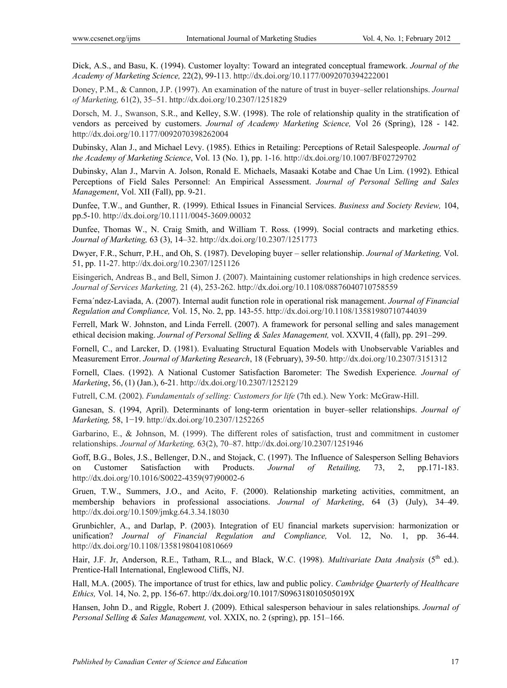Dick, A.S., and Basu, K. (1994). Customer loyalty: Toward an integrated conceptual framework. *Journal of the Academy of Marketing Science,* 22(2), 99-113. http://dx.doi.org/10.1177/0092070394222001

Doney, P.M., & Cannon, J.P. (1997). An examination of the nature of trust in buyer–seller relationships. *Journal of Marketing,* 61(2), 35–51. http://dx.doi.org/10.2307/1251829

Dorsch, M. J., Swanson, S.R., and Kelley, S.W. (1998). The role of relationship quality in the stratification of vendors as perceived by customers. *Journal of Academy Marketing Science,* Vol 26 (Spring), 128 - 142. http://dx.doi.org/10.1177/0092070398262004

Dubinsky, Alan J., and Michael Levy. (1985). Ethics in Retailing: Perceptions of Retail Salespeople. *Journal of the Academy of Marketing Science*, Vol. 13 (No. 1), pp. 1-16. http://dx.doi.org/10.1007/BF02729702

Dubinsky, Alan J., Marvin A. Jolson, Ronald E. Michaels, Masaaki Kotabe and Chae Un Lim. (1992). Ethical Perceptions of Field Sales Personnel: An Empirical Assessment. *Journal of Personal Selling and Sales Management*, Vol. XII (Fall), pp. 9-21.

Dunfee, T.W., and Gunther, R. (1999). Ethical Issues in Financial Services. *Business and Society Review,* 104, pp.5-10. http://dx.doi.org/10.1111/0045-3609.00032

Dunfee, Thomas W., N. Craig Smith, and William T. Ross. (1999). Social contracts and marketing ethics. *Journal of Marketing,* 63 (3), 14–32. http://dx.doi.org/10.2307/1251773

Dwyer, F.R., Schurr, P.H., and Oh, S. (1987). Developing buyer – seller relationship. *Journal of Marketing,* Vol. 51, pp. 11-27. http://dx.doi.org/10.2307/1251126

Eisingerich, Andreas B., and Bell, Simon J. (2007). Maintaining customer relationships in high credence services. *Journal of Services Marketing,* 21 (4), 253-262. http://dx.doi.org/10.1108/08876040710758559

Ferna´ndez-Laviada, A. (2007). Internal audit function role in operational risk management. *Journal of Financial Regulation and Compliance,* Vol. 15, No. 2, pp. 143-55. http://dx.doi.org/10.1108/13581980710744039

Ferrell, Mark W. Johnston, and Linda Ferrell. (2007). A framework for personal selling and sales management ethical decision making. *Journal of Personal Selling & Sales Management,* vol. XXVII, 4 (fall), pp. 291–299.

Fornell, C., and Larcker, D. (1981). Evaluating Structural Equation Models with Unobservable Variables and Measurement Error. *Journal of Marketing Research*, 18 (February), 39-50. http://dx.doi.org/10.2307/3151312

Fornell, Claes. (1992). A National Customer Satisfaction Barometer: The Swedish Experience*. Journal of Marketing*, 56, (1) (Jan.), 6-21. http://dx.doi.org/10.2307/1252129

Futrell, C.M. (2002). *Fundamentals of selling: Customers for life* (7th ed.). New York: McGraw-Hill.

Ganesan, S. (1994, April). Determinants of long-term orientation in buyer–seller relationships. *Journal of Marketing,* 58, 1−19. http://dx.doi.org/10.2307/1252265

Garbarino, E., & Johnson, M. (1999). The different roles of satisfaction, trust and commitment in customer relationships. *Journal of Marketing,* 63(2), 70–87. http://dx.doi.org/10.2307/1251946

Goff, B.G., Boles, J.S., Bellenger, D.N., and Stojack, C. (1997). The Influence of Salesperson Selling Behaviors on Customer Satisfaction with Products. *Journal of Retailing,* 73, 2, pp.171-183. http://dx.doi.org/10.1016/S0022-4359(97)90002-6

Gruen, T.W., Summers, J.O., and Acito, F. (2000). Relationship marketing activities, commitment, an membership behaviors in professional associations. *Journal of Marketing*, 64 (3) (July), 34–49. http://dx.doi.org/10.1509/jmkg.64.3.34.18030

Grunbichler, A., and Darlap, P. (2003). Integration of EU financial markets supervision: harmonization or unification? *Journal of Financial Regulation and Compliance,* Vol. 12, No. 1, pp. 36-44. http://dx.doi.org/10.1108/13581980410810669

Hair, J.F. Jr, Anderson, R.E., Tatham, R.L., and Black, W.C. (1998). *Multivariate Data Analysis* (5<sup>th</sup> ed.). Prentice-Hall International, Englewood Cliffs, NJ.

Hall, M.A. (2005). The importance of trust for ethics, law and public policy. *Cambridge Quarterly of Healthcare Ethics,* Vol. 14, No. 2, pp. 156-67. http://dx.doi.org/10.1017/S096318010505019X

Hansen, John D., and Riggle, Robert J. (2009). Ethical salesperson behaviour in sales relationships. *Journal of Personal Selling & Sales Management,* vol. XXIX, no. 2 (spring), pp. 151–166.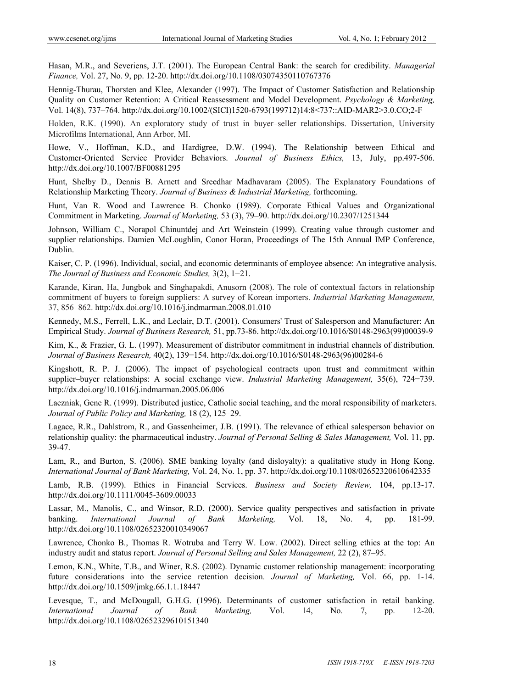Hasan, M.R., and Severiens, J.T. (2001). The European Central Bank: the search for credibility. *Managerial Finance,* Vol. 27, No. 9, pp. 12-20. http://dx.doi.org/10.1108/03074350110767376

Hennig-Thurau, Thorsten and Klee, Alexander (1997). The Impact of Customer Satisfaction and Relationship Quality on Customer Retention: A Critical Reassessment and Model Development. *Psychology & Marketing,*  Vol. 14(8), 737–764. http://dx.doi.org/10.1002/(SICI)1520-6793(199712)14:8<737::AID-MAR2>3.0.CO;2-F

Holden, R.K. (1990). An exploratory study of trust in buyer–seller relationships. Dissertation, University Microfilms International, Ann Arbor, MI.

Howe, V., Hoffman, K.D., and Hardigree, D.W. (1994). The Relationship between Ethical and Customer-Oriented Service Provider Behaviors. *Journal of Business Ethics,* 13, July, pp.497-506. http://dx.doi.org/10.1007/BF00881295

Hunt, Shelby D., Dennis B. Arnett and Sreedhar Madhavaram (2005). The Explanatory Foundations of Relationship Marketing Theory. *Journal of Business & Industrial Marketing,* forthcoming.

Hunt, Van R. Wood and Lawrence B. Chonko (1989). Corporate Ethical Values and Organizational Commitment in Marketing. *Journal of Marketing,* 53 (3), 79–90. http://dx.doi.org/10.2307/1251344

Johnson, William C., Norapol Chinuntdej and Art Weinstein (1999). Creating value through customer and supplier relationships. Damien McLoughlin, Conor Horan, Proceedings of The 15th Annual IMP Conference, Dublin.

Kaiser, C. P. (1996). Individual, social, and economic determinants of employee absence: An integrative analysis. *The Journal of Business and Economic Studies,* 3(2), 1−21.

Karande, Kiran, Ha, Jungbok and Singhapakdi, Anusorn (2008). The role of contextual factors in relationship commitment of buyers to foreign suppliers: A survey of Korean importers. *Industrial Marketing Management,*  37, 856–862. http://dx.doi.org/10.1016/j.indmarman.2008.01.010

Kennedy, M.S., Ferrell, L.K., and Leclair, D.T. (2001). Consumers' Trust of Salesperson and Manufacturer: An Empirical Study. *Journal of Business Research,* 51, pp.73-86. http://dx.doi.org/10.1016/S0148-2963(99)00039-9

Kim, K., & Frazier, G. L. (1997). Measurement of distributor commitment in industrial channels of distribution. *Journal of Business Research,* 40(2), 139−154. http://dx.doi.org/10.1016/S0148-2963(96)00284-6

Kingshott, R. P. J. (2006). The impact of psychological contracts upon trust and commitment within supplier–buyer relationships: A social exchange view. *Industrial Marketing Management,* 35(6), 724−739. http://dx.doi.org/10.1016/j.indmarman.2005.06.006

Laczniak, Gene R. (1999). Distributed justice, Catholic social teaching, and the moral responsibility of marketers. *Journal of Public Policy and Marketing,* 18 (2), 125–29.

Lagace, R.R., Dahlstrom, R., and Gassenheimer, J.B. (1991). The relevance of ethical salesperson behavior on relationship quality: the pharmaceutical industry. *Journal of Personal Selling & Sales Management,* Vol. 11, pp. 39-47.

Lam, R., and Burton, S. (2006). SME banking loyalty (and disloyalty): a qualitative study in Hong Kong. *International Journal of Bank Marketing,* Vol. 24, No. 1, pp. 37. http://dx.doi.org/10.1108/02652320610642335

Lamb, R.B. (1999). Ethics in Financial Services. *Business and Society Review,* 104, pp.13-17. http://dx.doi.org/10.1111/0045-3609.00033

Lassar, M., Manolis, C., and Winsor, R.D. (2000). Service quality perspectives and satisfaction in private banking. *International Journal of Bank Marketing,* Vol. 18, No. 4, pp. 181-99. http://dx.doi.org/10.1108/02652320010349067

Lawrence, Chonko B., Thomas R. Wotruba and Terry W. Low. (2002). Direct selling ethics at the top: An industry audit and status report. *Journal of Personal Selling and Sales Management,* 22 (2), 87–95.

Lemon, K.N., White, T.B., and Winer, R.S. (2002). Dynamic customer relationship management: incorporating future considerations into the service retention decision. *Journal of Marketing,* Vol. 66, pp. 1-14. http://dx.doi.org/10.1509/jmkg.66.1.1.18447

Levesque, T., and McDougall, G.H.G. (1996). Determinants of customer satisfaction in retail banking. *International Journal of Bank Marketing,* Vol. 14, No. 7, pp. 12-20. http://dx.doi.org/10.1108/02652329610151340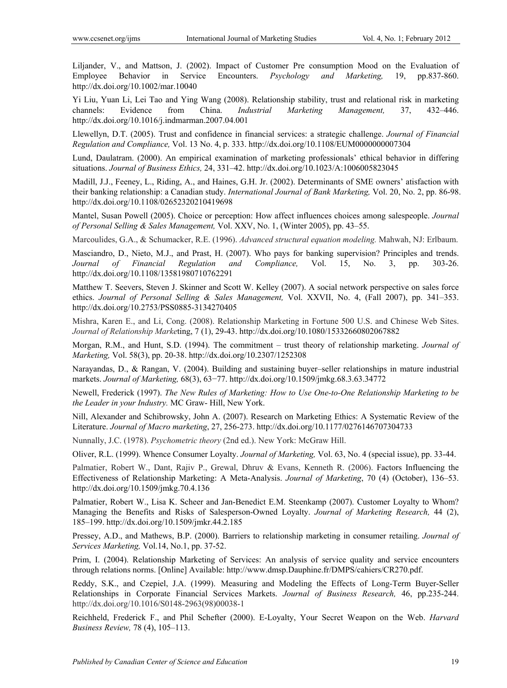Liljander, V., and Mattson, J. (2002). Impact of Customer Pre consumption Mood on the Evaluation of Employee Behavior in Service Encounters. *Psychology and Marketing,* 19, pp.837-860. http://dx.doi.org/10.1002/mar.10040

Yi Liu, Yuan Li, Lei Tao and Ying Wang (2008). Relationship stability, trust and relational risk in marketing channels: Evidence from China. *Industrial Marketing Management,* 37, 432–446. http://dx.doi.org/10.1016/j.indmarman.2007.04.001

Llewellyn, D.T. (2005). Trust and confidence in financial services: a strategic challenge. *Journal of Financial Regulation and Compliance,* Vol. 13 No. 4, p. 333. http://dx.doi.org/10.1108/EUM0000000007304

Lund, Daulatram. (2000). An empirical examination of marketing professionals' ethical behavior in differing situations. *Journal of Business Ethics,* 24, 331–42. http://dx.doi.org/10.1023/A:1006005823045

Madill, J.J., Feeney, L., Riding, A., and Haines, G.H. Jr. (2002). Determinants of SME owners' atisfaction with their banking relationship: a Canadian study. *International Journal of Bank Marketing,* Vol. 20, No. 2, pp. 86-98. http://dx.doi.org/10.1108/02652320210419698

Mantel, Susan Powell (2005). Choice or perception: How affect influences choices among salespeople. *Journal of Personal Selling & Sales Management,* Vol. XXV, No. 1, (Winter 2005), pp. 43–55.

Marcoulides, G.A., & Schumacker, R.E. (1996). *Advanced structural equation modeling.* Mahwah, NJ: Erlbaum.

Masciandro, D., Nieto, M.J., and Prast, H. (2007). Who pays for banking supervision? Principles and trends. *Journal of Financial Regulation and Compliance,* Vol. 15, No. 3, pp. 303-26. http://dx.doi.org/10.1108/13581980710762291

Matthew T. Seevers, Steven J. Skinner and Scott W. Kelley (2007). A social network perspective on sales force ethics. *Journal of Personal Selling & Sales Management,* Vol. XXVII, No. 4, (Fall 2007), pp. 341–353. http://dx.doi.org/10.2753/PSS0885-3134270405

Mishra, Karen E., and Li, Cong. (2008). Relationship Marketing in Fortune 500 U.S. and Chinese Web Sites. *Journal of Relationship Marke*ting, 7 (1), 29-43. http://dx.doi.org/10.1080/15332660802067882

Morgan, R.M., and Hunt, S.D. (1994). The commitment – trust theory of relationship marketing. *Journal of Marketing,* Vol. 58(3), pp. 20-38. http://dx.doi.org/10.2307/1252308

Narayandas, D., & Rangan, V. (2004). Building and sustaining buyer–seller relationships in mature industrial markets. *Journal of Marketing,* 68(3), 63−77. http://dx.doi.org/10.1509/jmkg.68.3.63.34772

Newell, Frederick (1997). *The New Rules of Marketing: How to Use One-to-One Relationship Marketing to be the Leader in your Industry.* MC Graw- Hill, New York.

Nill, Alexander and Schibrowsky, John A. (2007). Research on Marketing Ethics: A Systematic Review of the Literature. *Journal of Macro marketing*, 27, 256-273. http://dx.doi.org/10.1177/0276146707304733

Nunnally, J.C. (1978). *Psychometric theory* (2nd ed.). New York: McGraw Hill.

Oliver, R.L. (1999). Whence Consumer Loyalty. *Journal of Marketing,* Vol. 63, No. 4 (special issue), pp. 33-44.

Palmatier, Robert W., Dant, Rajiv P., Grewal, Dhruv & Evans, Kenneth R. (2006). Factors Influencing the Effectiveness of Relationship Marketing: A Meta-Analysis. *Journal of Marketing*, 70 (4) (October), 136–53. http://dx.doi.org/10.1509/jmkg.70.4.136

Palmatier, Robert W., Lisa K. Scheer and Jan-Benedict E.M. Steenkamp (2007). Customer Loyalty to Whom? Managing the Benefits and Risks of Salesperson-Owned Loyalty. *Journal of Marketing Research,* 44 (2), 185–199. http://dx.doi.org/10.1509/jmkr.44.2.185

Pressey, A.D., and Mathews, B.P. (2000). Barriers to relationship marketing in consumer retailing. *Journal of Services Marketing,* Vol.14, No.1, pp. 37-52.

Prim, I. (2004). Relationship Marketing of Services: An analysis of service quality and service encounters through relations norms. [Online] Available: http://www.dmsp.Dauphine.fr/DMPS/cahiers/CR270.pdf.

Reddy, S.K., and Czepiel, J.A. (1999). Measuring and Modeling the Effects of Long-Term Buyer-Seller Relationships in Corporate Financial Services Markets. *Journal of Business Research,* 46, pp.235-244. http://dx.doi.org/10.1016/S0148-2963(98)00038-1

Reichheld, Frederick F., and Phil Schefter (2000). E-Loyalty, Your Secret Weapon on the Web. *Harvard Business Review,* 78 (4), 105–113.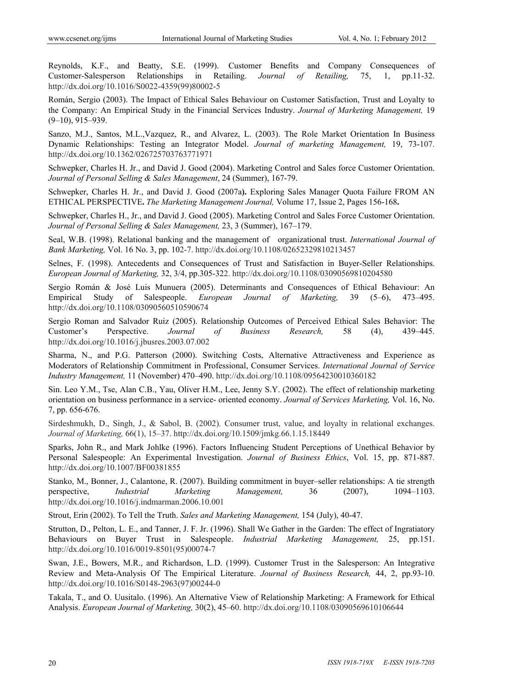Reynolds, K.F., and Beatty, S.E. (1999). Customer Benefits and Company Consequences of Customer-Salesperson Relationships in Retailing. *Journal of Retailing,* 75, 1, pp.11-32. http://dx.doi.org/10.1016/S0022-4359(99)80002-5

Román, Sergio (2003). The Impact of Ethical Sales Behaviour on Customer Satisfaction, Trust and Loyalty to the Company: An Empirical Study in the Financial Services Industry. *Journal of Marketing Management,* 19 (9–10), 915–939.

Sanzo, M.J., Santos, M.L.,Vazquez, R., and Alvarez, L. (2003). The Role Market Orientation In Business Dynamic Relationships: Testing an Integrator Model. *Journal of marketing Management,* 19, 73-107. http://dx.doi.org/10.1362/026725703763771971

Schwepker, Charles H. Jr., and David J. Good (2004). Marketing Control and Sales force Customer Orientation. *Journal of Personal Selling & Sales Management*, 24 (Summer), 167-79.

Schwepker, Charles H. Jr., and David J. Good (2007a**).** Exploring Sales Manager Quota Failure FROM AN ETHICAL PERSPECTIVE**.** *The Marketing Management Journal,* Volume 17, Issue 2, Pages 156-168**.**

Schwepker, Charles H., Jr., and David J. Good (2005). Marketing Control and Sales Force Customer Orientation. *Journal of Personal Selling & Sales Management,* 23, 3 (Summer), 167–179.

Seal, W.B. (1998). Relational banking and the management of organizational trust. *International Journal of Bank Marketing,* Vol. 16 No. 3, pp. 102-7. http://dx.doi.org/10.1108/02652329810213457

Selnes, F. (1998). Antecedents and Consequences of Trust and Satisfaction in Buyer-Seller Relationships. *European Journal of Marketing,* 32, 3/4, pp.305-322. http://dx.doi.org/10.1108/03090569810204580

Sergio Román & José Luis Munuera (2005). Determinants and Consequences of Ethical Behaviour: An Empirical Study of Salespeople. *European Journal of Marketing,* 39 (5–6), 473–495. http://dx.doi.org/10.1108/03090560510590674

Sergio Roman and Salvador Ruiz (2005). Relationship Outcomes of Perceived Ethical Sales Behavior: The Customer's Perspective. *Journal of Business Research,* 58 (4), 439–445. http://dx.doi.org/10.1016/j.jbusres.2003.07.002

Sharma, N., and P.G. Patterson (2000). Switching Costs, Alternative Attractiveness and Experience as Moderators of Relationship Commitment in Professional, Consumer Services. *International Journal of Service Industry Management,* 11 (November) 470–490. http://dx.doi.org/10.1108/09564230010360182

Sin. Leo Y.M., Tse, Alan C.B., Yau, Oliver H.M., Lee, Jenny S.Y. (2002). The effect of relationship marketing orientation on business performance in a service- oriented economy. *Journal of Services Marketing,* Vol. 16, No. 7, pp. 656-676.

Sirdeshmukh, D., Singh, J., & Sabol, B. (2002). Consumer trust, value, and loyalty in relational exchanges. *Journal of Marketing,* 66(1), 15–37. http://dx.doi.org/10.1509/jmkg.66.1.15.18449

Sparks, John R., and Mark Johlke (1996). Factors Influencing Student Perceptions of Unethical Behavior by Personal Salespeople: An Experimental Investigation. *Journal of Business Ethics*, Vol. 15, pp. 871-887. http://dx.doi.org/10.1007/BF00381855

Stanko, M., Bonner, J., Calantone, R. (2007). Building commitment in buyer–seller relationships: A tie strength perspective, *Industrial Marketing Management,* 36 (2007), 1094–1103. http://dx.doi.org/10.1016/j.indmarman.2006.10.001

Strout, Erin (2002). To Tell the Truth. *Sales and Marketing Management,* 154 (July), 40-47.

Strutton, D., Pelton, L. E., and Tanner, J. F. Jr. (1996). Shall We Gather in the Garden: The effect of Ingratiatory Behaviours on Buyer Trust in Salespeople. *Industrial Marketing Management,* 25, pp.151. http://dx.doi.org/10.1016/0019-8501(95)00074-7

Swan, J.E., Bowers, M.R., and Richardson, L.D. (1999). Customer Trust in the Salesperson: An Integrative Review and Meta-Analysis Of The Empirical Literature. *Journal of Business Research,* 44, 2, pp.93-10. http://dx.doi.org/10.1016/S0148-2963(97)00244-0

Takala, T., and O. Uusitalo. (1996). An Alternative View of Relationship Marketing: A Framework for Ethical Analysis. *European Journal of Marketing,* 30(2), 45–60. http://dx.doi.org/10.1108/03090569610106644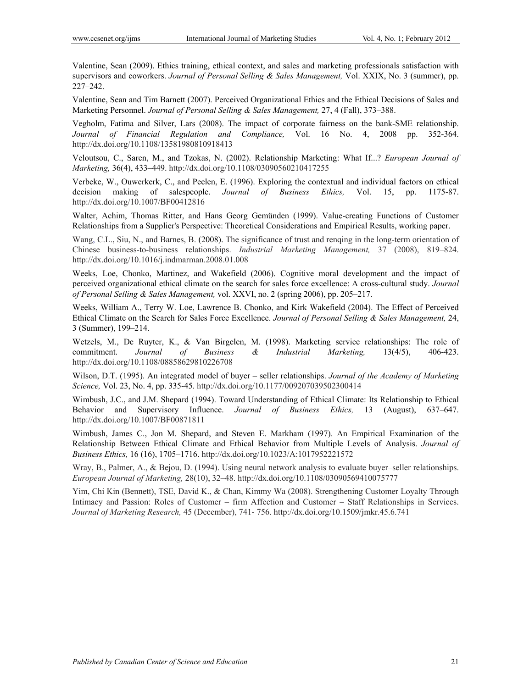Valentine, Sean (2009). Ethics training, ethical context, and sales and marketing professionals satisfaction with supervisors and coworkers. *Journal of Personal Selling & Sales Management,* Vol. XXIX, No. 3 (summer), pp. 227–242.

Valentine, Sean and Tim Barnett (2007). Perceived Organizational Ethics and the Ethical Decisions of Sales and Marketing Personnel. *Journal of Personal Selling & Sales Management,* 27, 4 (Fall), 373–388.

Vegholm, Fatima and Silver, Lars (2008). The impact of corporate fairness on the bank-SME relationship. *Journal of Financial Regulation and Compliance,* Vol. 16 No. 4, 2008 pp. 352-364. http://dx.doi.org/10.1108/13581980810918413

Veloutsou, C., Saren, M., and Tzokas, N. (2002). Relationship Marketing: What If...? *European Journal of Marketing,* 36(4), 433–449. http://dx.doi.org/10.1108/03090560210417255

Verbeke, W., Ouwerkerk, C., and Peelen, E. (1996). Exploring the contextual and individual factors on ethical decision making of salespeople. *Journal of Business Ethics,* Vol. 15, pp. 1175-87. http://dx.doi.org/10.1007/BF00412816

Walter, Achim, Thomas Ritter, and Hans Georg Gemünden (1999). Value-creating Functions of Customer Relationships from a Supplier's Perspective: Theoretical Considerations and Empirical Results, working paper.

Wang, C.L., Siu, N., and Barnes, B. (2008). The significance of trust and renqing in the long-term orientation of Chinese business-to-business relationships. *Industrial Marketing Management,* 37 (2008), 819–824. http://dx.doi.org/10.1016/j.indmarman.2008.01.008

Weeks, Loe, Chonko, Martinez, and Wakefield (2006). Cognitive moral development and the impact of perceived organizational ethical climate on the search for sales force excellence: A cross-cultural study. *Journal of Personal Selling & Sales Management,* vol. XXVI, no. 2 (spring 2006), pp. 205–217.

Weeks, William A., Terry W. Loe, Lawrence B. Chonko, and Kirk Wakefield (2004). The Effect of Perceived Ethical Climate on the Search for Sales Force Excellence. *Journal of Personal Selling & Sales Management,* 24, 3 (Summer), 199–214.

Wetzels, M., De Ruyter, K., & Van Birgelen, M. (1998). Marketing service relationships: The role of commitment. *Journal of Business & Industrial Marketing,* 13(4/5), 406-423. http://dx.doi.org/10.1108/08858629810226708

Wilson, D.T. (1995). An integrated model of buyer – seller relationships. *Journal of the Academy of Marketing Science,* Vol. 23, No. 4, pp. 335-45. http://dx.doi.org/10.1177/009207039502300414

Wimbush, J.C., and J.M. Shepard (1994). Toward Understanding of Ethical Climate: Its Relationship to Ethical Behavior and Supervisory Influence. *Journal of Business Ethics,* 13 (August), 637–647. http://dx.doi.org/10.1007/BF00871811

Wimbush, James C., Jon M. Shepard, and Steven E. Markham (1997). An Empirical Examination of the Relationship Between Ethical Climate and Ethical Behavior from Multiple Levels of Analysis. *Journal of Business Ethics,* 16 (16), 1705–1716. http://dx.doi.org/10.1023/A:1017952221572

Wray, B., Palmer, A., & Bejou, D. (1994). Using neural network analysis to evaluate buyer–seller relationships. *European Journal of Marketing,* 28(10), 32–48. http://dx.doi.org/10.1108/03090569410075777

Yim, Chi Kin (Bennett), TSE, David K., & Chan, Kimmy Wa (2008). Strengthening Customer Loyalty Through Intimacy and Passion: Roles of Customer – firm Affection and Customer – Staff Relationships in Services. *Journal of Marketing Research,* 45 (December), 741- 756. http://dx.doi.org/10.1509/jmkr.45.6.741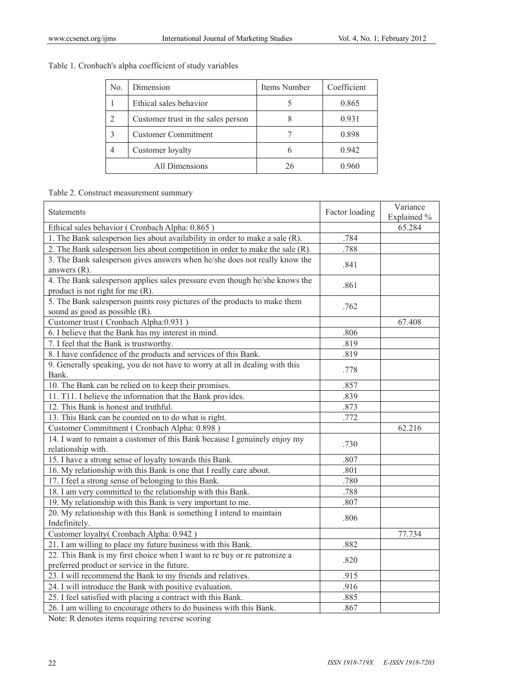Table 1. Cronbach's alpha coefficient of study variables

| No.            | Dimension                          | Items Number | Coefficient |
|----------------|------------------------------------|--------------|-------------|
|                | Ethical sales behavior             |              | 0.865       |
| 2              | Customer trust in the sales person |              | 0.931       |
| 3              | <b>Customer Commitment</b>         |              | 0.898       |
| 4              | Customer loyalty                   | h            | 0.942       |
| All Dimensions |                                    | 26           | 0.960       |

# Table 2. Construct measurement summary

| <b>Statements</b>                                                                                                  | Factor loading | Variance<br>Explained % |
|--------------------------------------------------------------------------------------------------------------------|----------------|-------------------------|
| Ethical sales behavior (Cronbach Alpha: 0.865)                                                                     |                | 65.284                  |
| 1. The Bank salesperson lies about availability in order to make a sale (R).                                       | .784           |                         |
| 2. The Bank salesperson lies about competition in order to make the sale (R).                                      | .788           |                         |
| 3. The Bank salesperson gives answers when he/she does not really know the<br>answers $(R)$ .                      | .841           |                         |
| 4. The Bank salesperson applies sales pressure even though he/she knows the<br>product is not right for me $(R)$ . | .861           |                         |
| 5. The Bank salesperson paints rosy pictures of the products to make them<br>sound as good as possible (R).        | .762           |                         |
| Customer trust (Cronbach Alpha:0.931)                                                                              |                | 67.408                  |
| 6. I believe that the Bank has my interest in mind.                                                                | .806           |                         |
| 7. I feel that the Bank is trustworthy.                                                                            | .819           |                         |
| 8. I have confidence of the products and services of this Bank.                                                    | .819           |                         |
| 9. Generally speaking, you do not have to worry at all in dealing with this<br>Bank.                               | .778           |                         |
| 10. The Bank can be relied on to keep their promises.                                                              | .857           |                         |
| 11. T11. I believe the information that the Bank provides.                                                         | .839           |                         |
| 12. This Bank is honest and truthful.                                                                              | .873           |                         |
| 13. This Bank can be counted on to do what is right.                                                               | .772           |                         |
| Customer Commitment (Cronbach Alpha: 0.898)                                                                        |                | 62.216                  |
| 14. I want to remain a customer of this Bank because I genuinely enjoy my                                          | .730           |                         |
| relationship with.                                                                                                 |                |                         |
| 15. I have a strong sense of loyalty towards this Bank.                                                            | .807           |                         |
| 16. My relationship with this Bank is one that I really care about.                                                | .801           |                         |
| 17. I feel a strong sense of belonging to this Bank.                                                               | .780           |                         |
| 18. I am very committed to the relationship with this Bank.                                                        | .788           |                         |
| 19. My relationship with this Bank is very important to me.                                                        | .807           |                         |
| 20. My relationship with this Bank is something I intend to maintain<br>Indefinitely.                              | .806           |                         |
| Customer loyalty(Cronbach Alpha: 0.942)                                                                            |                | 77.734                  |
| 21. I am willing to place my future business with this Bank.                                                       | .882           |                         |
| 22. This Bank is my first choice when I want to re buy or re patronize a                                           |                |                         |
| preferred product or service in the future.                                                                        | .820           |                         |
| 23. I will recommend the Bank to my friends and relatives.                                                         | .915           |                         |
| 24. I will introduce the Bank with positive evaluation.                                                            | .916           |                         |
| 25. I feel satisfied with placing a contract with this Bank.                                                       | .885           |                         |
| 26. I am willing to encourage others to do business with this Bank.                                                | .867           |                         |

Note: R denotes items requiring reverse scoring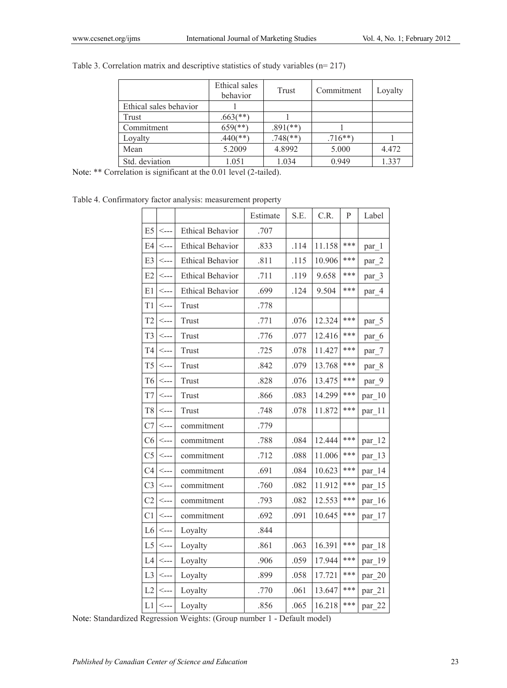| Table 3. Correlation matrix and descriptive statistics of study variables $(n=217)$ |  |  |  |  |  |  |
|-------------------------------------------------------------------------------------|--|--|--|--|--|--|
|-------------------------------------------------------------------------------------|--|--|--|--|--|--|

|                        | Ethical sales<br>behavior | Trust                    | Commitment | Loyalty |
|------------------------|---------------------------|--------------------------|------------|---------|
| Ethical sales behavior |                           |                          |            |         |
| Trust                  | $.663$ <sup>(**)</sup> )  |                          |            |         |
| Commitment             | $659$ (**)                | $.891$ (**)              |            |         |
| Loyalty                | $.440$ (**)               | $.748$ <sup>(**)</sup> ) | $.716**$   |         |
| Mean                   | 5.2009                    | 4.8992                   | 5.000      | 4.472   |
| Std. deviation         | 1.051                     | 1.034                    | 0.949      | 1.337   |

Note: \*\* Correlation is significant at the 0.01 level (2-tailed).

|  |  | Table 4. Confirmatory factor analysis: measurement property |  |
|--|--|-------------------------------------------------------------|--|
|  |  |                                                             |  |

|                |                             |                         | Estimate | S.E. | C.R.   | $\mathbf{P}$ | Label             |
|----------------|-----------------------------|-------------------------|----------|------|--------|--------------|-------------------|
| E <sub>5</sub> | $\leftarrow$ ---            | <b>Ethical Behavior</b> | .707     |      |        |              |                   |
| E4             | $\leftarrow$ ---            | <b>Ethical Behavior</b> | .833     | .114 | 11.158 | ***          | par 1             |
| E <sub>3</sub> | $\leftarrow$                | <b>Ethical Behavior</b> | .811     | .115 | 10.906 | ***          | par 2             |
| E2             | $\leftarrow$ ---            | <b>Ethical Behavior</b> | .711     | .119 | 9.658  | ***          | par <sub>_3</sub> |
| E1             | $\leftarrow$ ---            | <b>Ethical Behavior</b> | .699     | .124 | 9.504  | ***          | par_4             |
| T <sub>1</sub> | $\leftarrow$ ---            | Trust                   | .778     |      |        |              |                   |
| T <sub>2</sub> | $\leftarrow$ ---            | Trust                   | .771     | .076 | 12.324 | ***          | par_5             |
| T <sub>3</sub> | $\leftarrow$ ---            | Trust                   | .776     | .077 | 12.416 | ***          | par 6             |
| T4             | $\leftarrow$ ---            | Trust                   | .725     | .078 | 11.427 | ***          | par 7             |
| T <sub>5</sub> | $\leftarrow$ ---            | Trust                   | .842     | .079 | 13.768 | ***          | par <sub>8</sub>  |
| T <sub>6</sub> | $\leftarrow$ ---            | <b>Trust</b>            | .828     | .076 | 13.475 | ***          | par 9             |
| T7             | $\leftarrow$                | <b>Trust</b>            | .866     | .083 | 14.299 | ***          | par 10            |
| T <sub>8</sub> | $\leftarrow$ ---            | Trust                   | .748     | .078 | 11.872 | ***          | par 11            |
| C7             | $\leftarrow$ ---            | commitment              | .779     |      |        |              |                   |
| C6             | $\leftarrow$ ---            | commitment              | .788     | .084 | 12.444 | ***          | par 12            |
| C <sub>5</sub> | $\leftarrow$ ---            | commitment              | .712     | .088 | 11.006 | ***          | par 13            |
| C4             | $\leftarrow$ ---            | commitment              | .691     | .084 | 10.623 | ***          | par 14            |
| C <sub>3</sub> | $\leftarrow$ ---            | commitment              | .760     | .082 | 11.912 | ***          | par 15            |
| C <sub>2</sub> | $\leftarrow$ --             | commitment              | .793     | .082 | 12.553 | ***          | par 16            |
| C1             | $\lt$ ---                   | commitment              | .692     | .091 | 10.645 | ***          | $par_{17}$        |
| L6             | $\leftarrow$ ---            | Loyalty                 | .844     |      |        |              |                   |
| L <sub>5</sub> | $\leftarrow$ ---            | Loyalty                 | .861     | .063 | 16.391 | ***          | par 18            |
| L4             | $\leftarrow$                | Loyalty                 | .906     | .059 | 17.944 | ***          | par 19            |
| L <sub>3</sub> | $\lt_{\text{---}}$          | Loyalty                 | .899     | .058 | 17.721 | ***          | par 20            |
| L2             | $\leftarrow$ ---            | Loyalty                 | .770     | .061 | 13.647 | ***          | par 21            |
| L1             | $\operatorname{\sf \leq--}$ | Loyalty                 | .856     | .065 | 16.218 | ***          | par 22            |

Note: Standardized Regression Weights: (Group number 1 - Default model)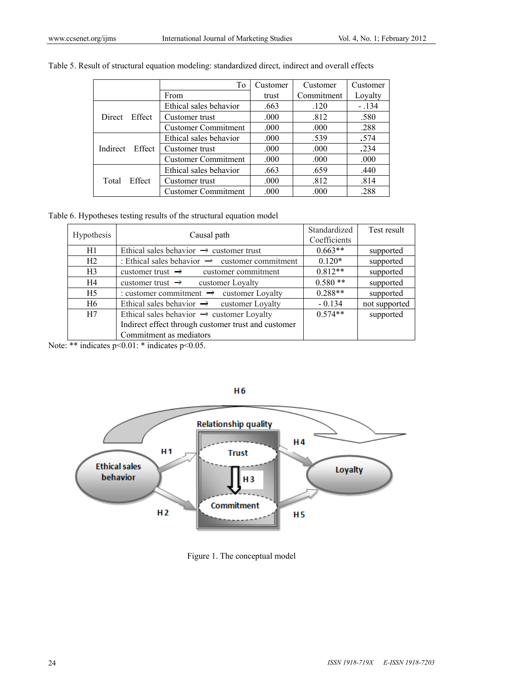|                    | To                         | Customer | Customer   | Customer |
|--------------------|----------------------------|----------|------------|----------|
|                    | From                       | trust    | Commitment | Loyalty  |
|                    | Ethical sales behavior     | .663     | .120       | $-.134$  |
| Effect<br>Direct   | Customer trust             | .000     | .812       | .580     |
|                    | <b>Customer Commitment</b> | .000     | .000       | .288     |
|                    | Ethical sales behavior     | .000     | .539       | .574     |
| Effect<br>Indirect | Customer trust             | .000     | .000       | .234     |
|                    | <b>Customer Commitment</b> | .000     | .000       | .000     |
|                    | Ethical sales behavior     | .663     | .659       | .440     |
| Effect<br>Total    | Customer trust             | .000     | .812       | .814     |
|                    | <b>Customer Commitment</b> | .000     | .000       | .288     |

Table 5. Result of structural equation modeling: standardized direct, indirect and overall effects

Table 6. Hypotheses testing results of the structural equation model

| <b>Hypothesis</b> | Causal path                                                | Standardized | Test result   |
|-------------------|------------------------------------------------------------|--------------|---------------|
|                   |                                                            | Coefficients |               |
| H1                | Ethical sales behavior $\rightarrow$ customer trust        | $0.663**$    | supported     |
| H2                | : Ethical sales behavior $\rightarrow$ customer commitment | $0.120*$     | supported     |
| H <sub>3</sub>    | customer commitment<br>customer trust $\rightarrow$        | $0.812**$    | supported     |
| H4                | customer trust $\rightarrow$ customer Loyalty              | $0.580**$    | supported     |
| H <sub>5</sub>    | : customer commitment $\rightarrow$ customer Loyalty       | $0.288**$    | supported     |
| H <sub>6</sub>    | Ethical sales behavior $\rightarrow$ customer Loyalty      | $-0.134$     | not supported |
| H7                | Ethical sales behavior $\rightarrow$ customer Loyalty      | $0.574**$    | supported     |
|                   | Indirect effect through customer trust and customer        |              |               |
|                   | Commitment as mediators                                    |              |               |

Note: \*\* indicates  $p<0.01$ : \* indicates  $p<0.05$ .



H<sub>6</sub>

Figure 1. The conceptual model